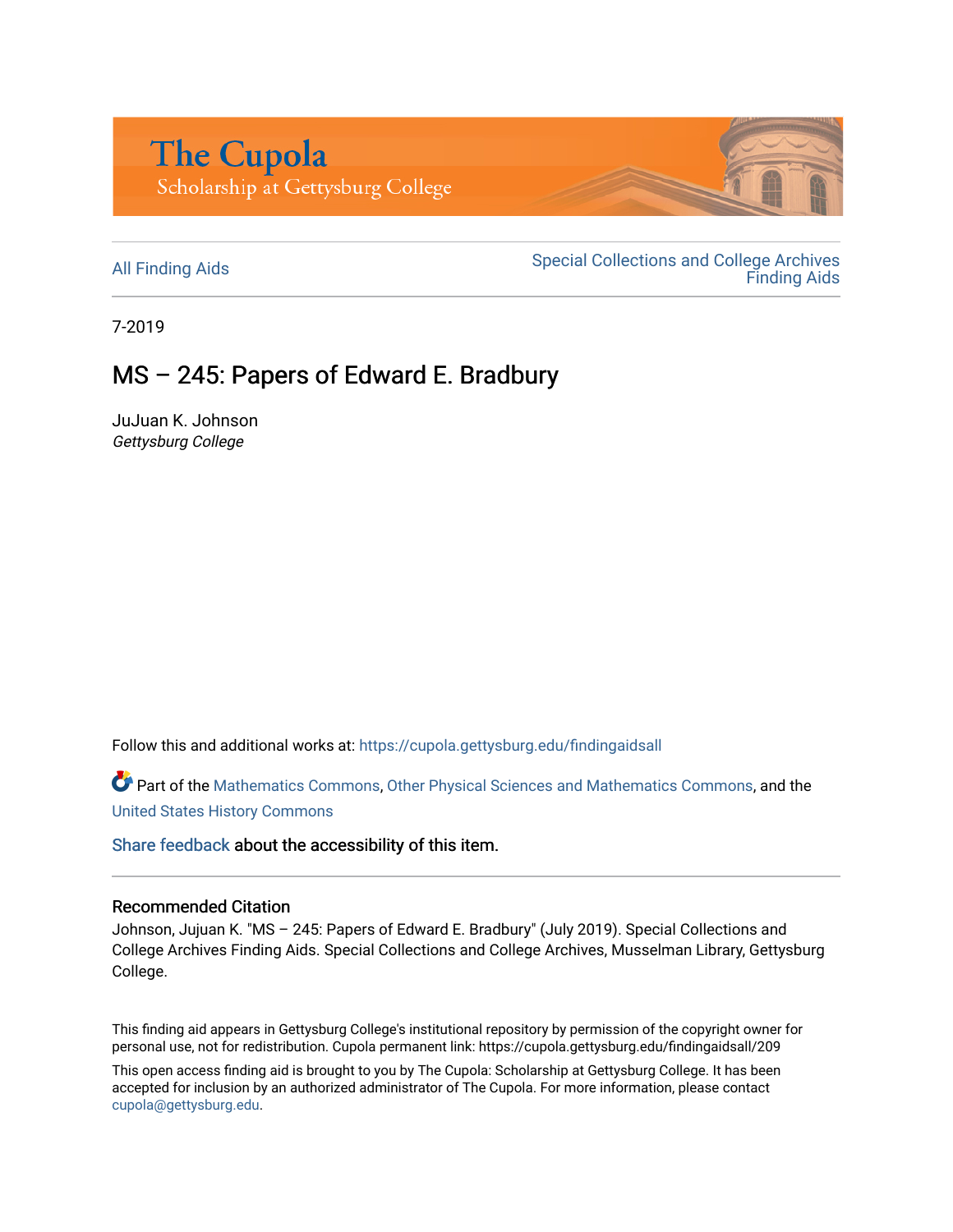

All Finding Aids<br>
All Finding Aids<br>
Special Collections and College Archives [Finding Aids](https://cupola.gettysburg.edu/findingaids) 

7-2019

# $MS - 245$ : Papers of Edward E. Bradbury

JuJuan K. Johnson Gettysburg College

Follow this and additional works at: [https://cupola.gettysburg.edu/findingaidsall](https://cupola.gettysburg.edu/findingaidsall?utm_source=cupola.gettysburg.edu%2Ffindingaidsall%2F209&utm_medium=PDF&utm_campaign=PDFCoverPages) 

Part of the [Mathematics Commons](http://network.bepress.com/hgg/discipline/174?utm_source=cupola.gettysburg.edu%2Ffindingaidsall%2F209&utm_medium=PDF&utm_campaign=PDFCoverPages), [Other Physical Sciences and Mathematics Commons](http://network.bepress.com/hgg/discipline/216?utm_source=cupola.gettysburg.edu%2Ffindingaidsall%2F209&utm_medium=PDF&utm_campaign=PDFCoverPages), and the [United States History Commons](http://network.bepress.com/hgg/discipline/495?utm_source=cupola.gettysburg.edu%2Ffindingaidsall%2F209&utm_medium=PDF&utm_campaign=PDFCoverPages)

[Share feedback](https://docs.google.com/a/bepress.com/forms/d/1h9eEcpBPj5POs5oO6Y5A0blXRmZqykoonyYiZUNyEq8/viewform) about the accessibility of this item.

#### Recommended Citation

Johnson, Jujuan K. "MS – 245: Papers of Edward E. Bradbury" (July 2019). Special Collections and College Archives Finding Aids. Special Collections and College Archives, Musselman Library, Gettysburg College.

This finding aid appears in Gettysburg College's institutional repository by permission of the copyright owner for personal use, not for redistribution. Cupola permanent link: https://cupola.gettysburg.edu/findingaidsall/209

This open access finding aid is brought to you by The Cupola: Scholarship at Gettysburg College. It has been accepted for inclusion by an authorized administrator of The Cupola. For more information, please contact [cupola@gettysburg.edu.](mailto:cupola@gettysburg.edu)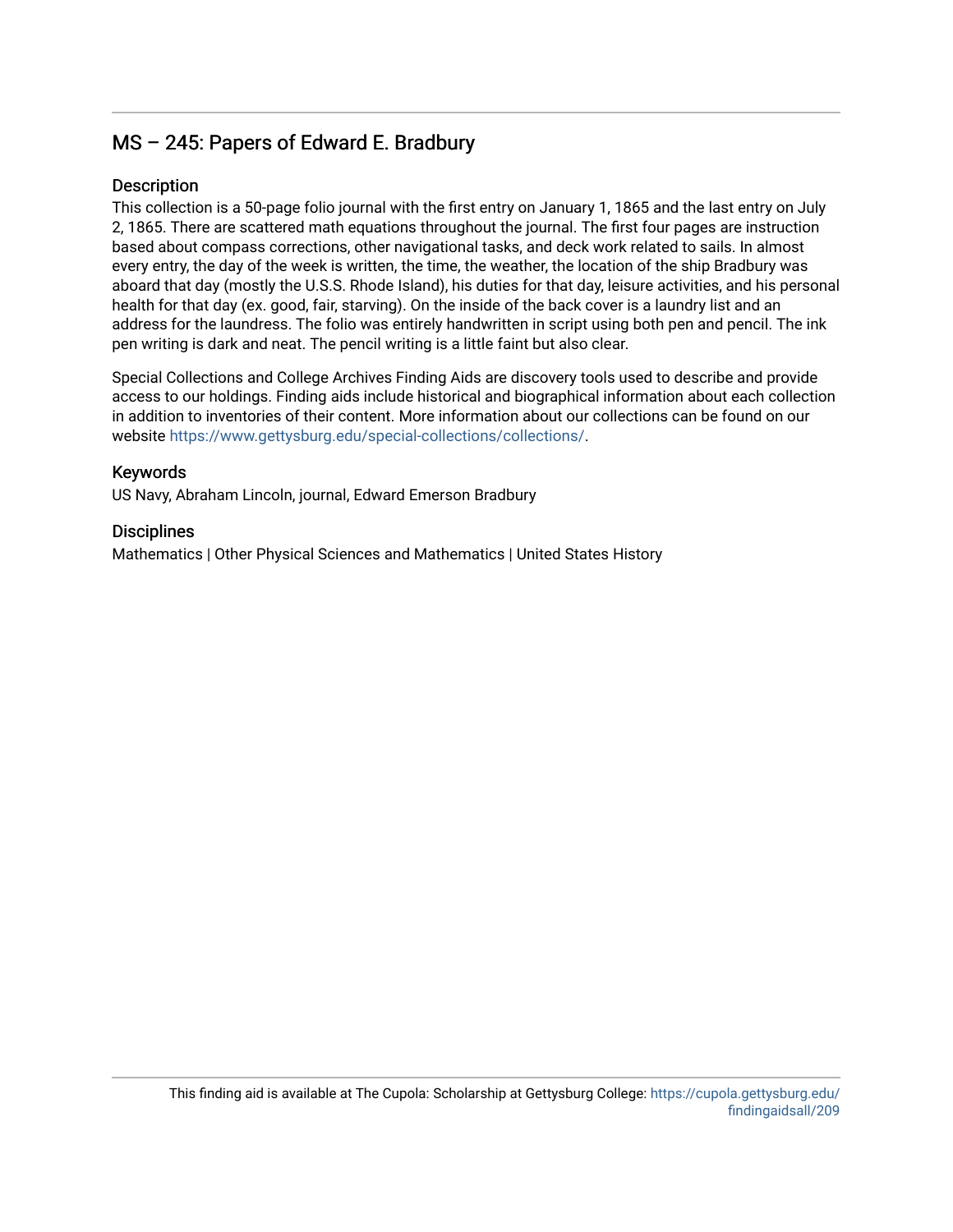## $MS - 245$ : Papers of Edward E. Bradbury

#### Description

This collection is a 50-page folio journal with the first entry on January 1, 1865 and the last entry on July 2, 1865. There are scattered math equations throughout the journal. The first four pages are instruction based about compass corrections, other navigational tasks, and deck work related to sails. In almost every entry, the day of the week is written, the time, the weather, the location of the ship Bradbury was aboard that day (mostly the U.S.S. Rhode Island), his duties for that day, leisure activities, and his personal health for that day (ex. good, fair, starving). On the inside of the back cover is a laundry list and an address for the laundress. The folio was entirely handwritten in script using both pen and pencil. The ink pen writing is dark and neat. The pencil writing is a little faint but also clear.

Special Collections and College Archives Finding Aids are discovery tools used to describe and provide access to our holdings. Finding aids include historical and biographical information about each collection in addition to inventories of their content. More information about our collections can be found on our website [https://www.gettysburg.edu/special-collections/collections/.](https://www.gettysburg.edu/special-collections/collections/)

#### Keywords

US Navy, Abraham Lincoln, journal, Edward Emerson Bradbury

#### **Disciplines**

Mathematics | Other Physical Sciences and Mathematics | United States History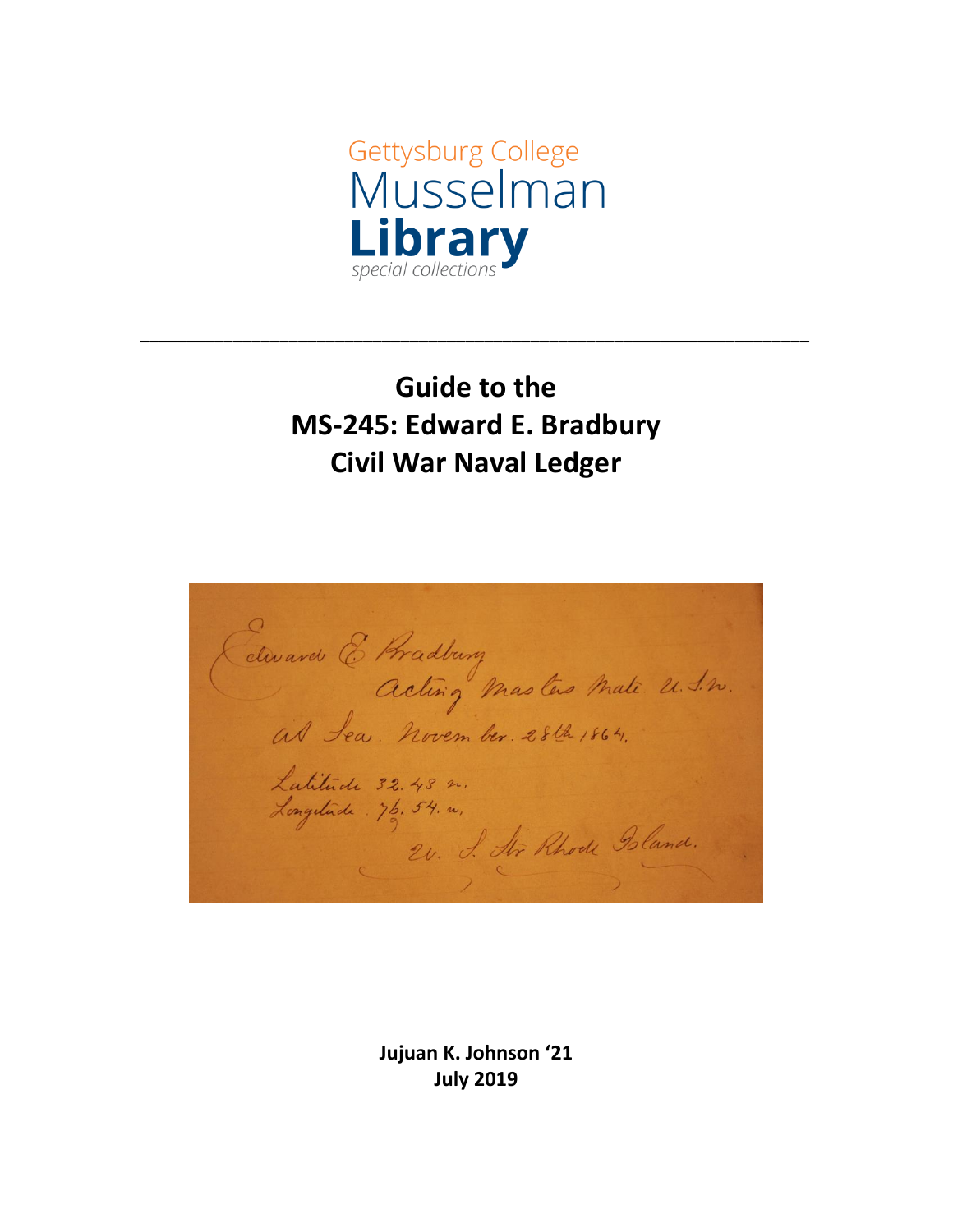

# **Guide to the MS-245: Edward E. Bradbury Civil War Naval Ledger**

**\_\_\_\_\_\_\_\_\_\_\_\_\_\_\_\_\_\_\_\_\_\_\_\_\_\_\_\_\_\_\_\_\_\_\_\_\_\_\_\_\_\_\_\_\_\_\_\_\_\_\_\_\_\_\_\_\_\_\_\_\_\_\_\_\_\_\_\_\_\_\_\_**

Cetward & Pradburg<br>Acting Masters Mate 2.1.2. Latitude 32.43 m.<br>Longitude . 76,54. m. 2. J. Ar Rhode Island.

**Jujuan K. Johnson '21 July 2019**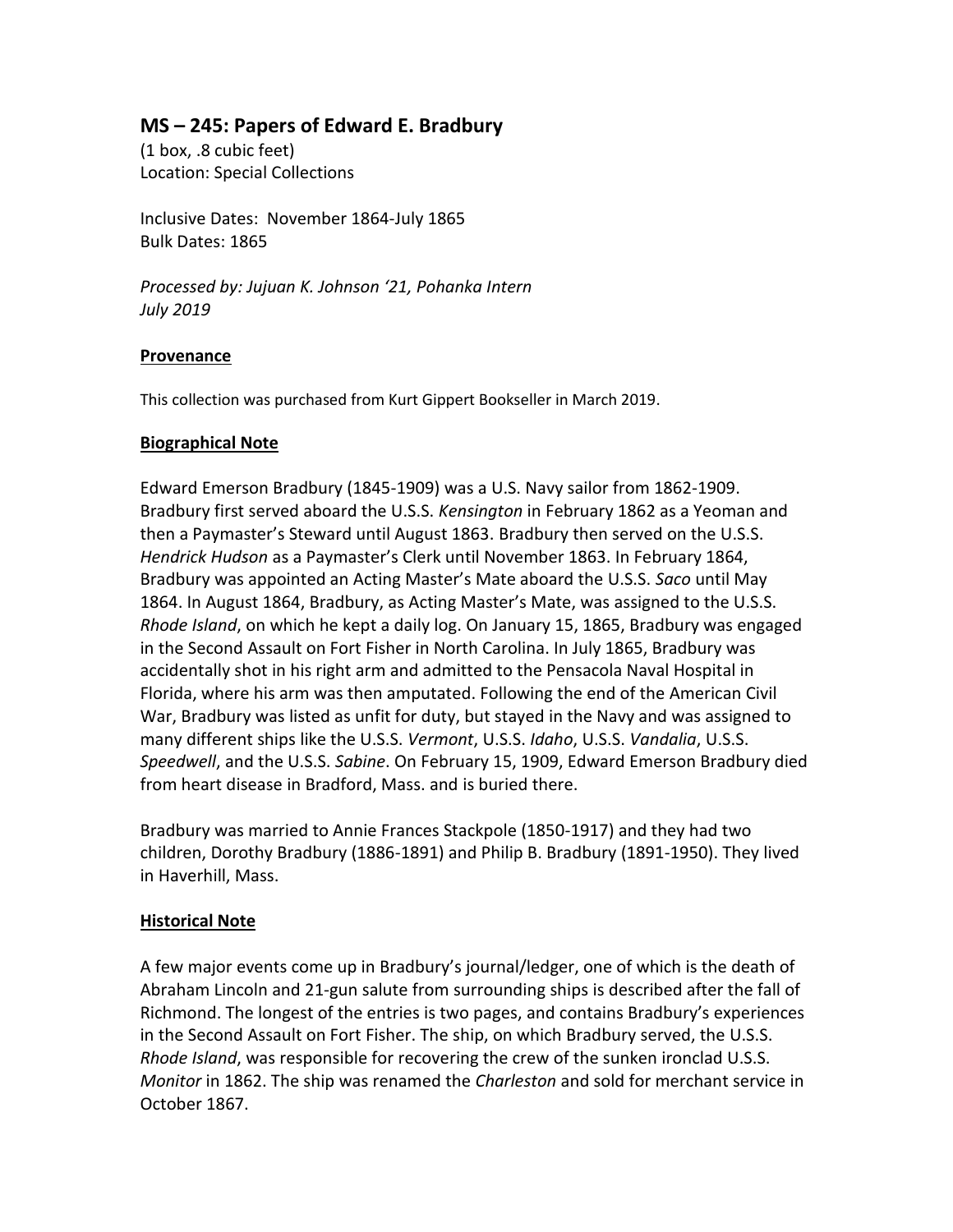### **MS – 245: Papers of Edward E. Bradbury**

(1 box, .8 cubic feet) Location: Special Collections

Inclusive Dates: November 1864-July 1865 Bulk Dates: 1865

*Processed by: Jujuan K. Johnson '21, Pohanka Intern July 2019*

#### **Provenance**

This collection was purchased from Kurt Gippert Bookseller in March 2019.

#### **Biographical Note**

Edward Emerson Bradbury (1845-1909) was a U.S. Navy sailor from 1862-1909. Bradbury first served aboard the U.S.S. *Kensington* in February 1862 as a Yeoman and then a Paymaster's Steward until August 1863. Bradbury then served on the U.S.S. *Hendrick Hudson* as a Paymaster's Clerk until November 1863. In February 1864, Bradbury was appointed an Acting Master's Mate aboard the U.S.S. *Saco* until May 1864. In August 1864, Bradbury, as Acting Master's Mate, was assigned to the U.S.S. *Rhode Island*, on which he kept a daily log. On January 15, 1865, Bradbury was engaged in the Second Assault on Fort Fisher in North Carolina. In July 1865, Bradbury was accidentally shot in his right arm and admitted to the Pensacola Naval Hospital in Florida, where his arm was then amputated. Following the end of the American Civil War, Bradbury was listed as unfit for duty, but stayed in the Navy and was assigned to many different ships like the U.S.S. *Vermont*, U.S.S. *Idaho*, U.S.S. *Vandalia*, U.S.S. *Speedwell*, and the U.S.S. *Sabine*. On February 15, 1909, Edward Emerson Bradbury died from heart disease in Bradford, Mass. and is buried there.

Bradbury was married to Annie Frances Stackpole (1850-1917) and they had two children, Dorothy Bradbury (1886-1891) and Philip B. Bradbury (1891-1950). They lived in Haverhill, Mass.

#### **Historical Note**

A few major events come up in Bradbury's journal/ledger, one of which is the death of Abraham Lincoln and 21-gun salute from surrounding ships is described after the fall of Richmond. The longest of the entries is two pages, and contains Bradbury's experiences in the Second Assault on Fort Fisher. The ship, on which Bradbury served, the U.S.S. *Rhode Island*, was responsible for recovering the crew of the sunken ironclad U.S.S. *Monitor* in 1862. The ship was renamed the *Charleston* and sold for merchant service in October 1867.